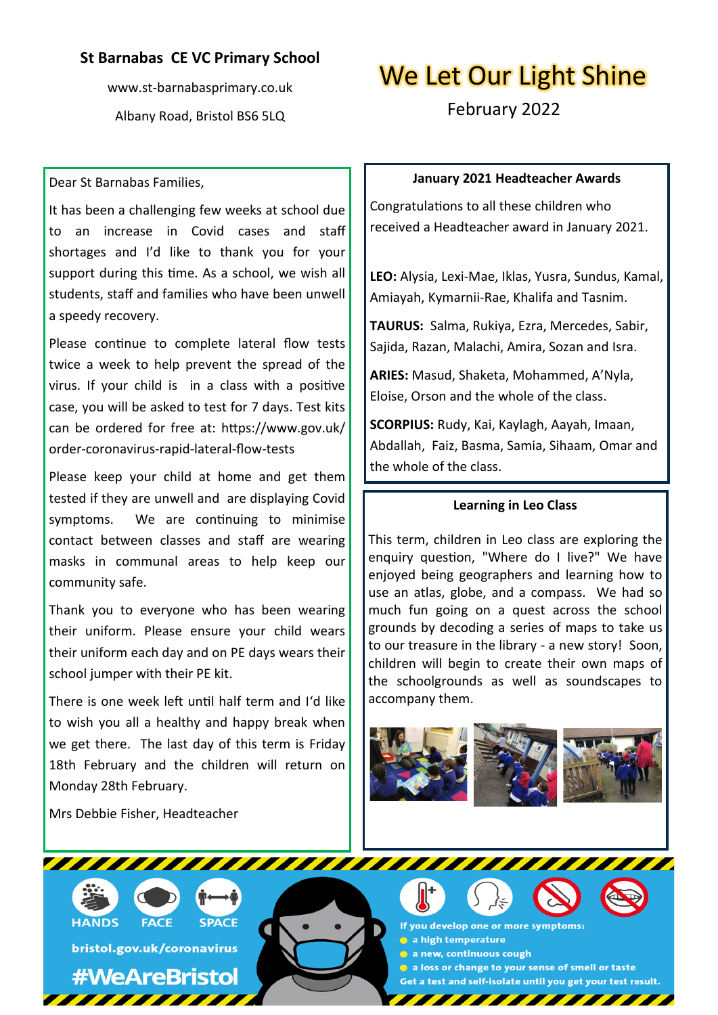# **St Barnabas CE VC Primary School**

www.st-barnabasprimary.co.uk Albany Road, Bristol BS6 5LQ

# We Let Our Light Shine

February 2022

## Dear St Barnabas Families,

It has been a challenging few weeks at school due to an increase in Covid cases and staff shortages and I'd like to thank you for your support during this time. As a school, we wish all students, staff and families who have been unwell a speedy recovery.

Please continue to complete lateral flow tests twice a week to help prevent the spread of the virus. If your child is in a class with a positive case, you will be asked to test for 7 days. Test kits can be ordered for free at: https://www.gov.uk/ order-coronavirus-rapid-lateral-flow-tests

Please keep your child at home and get them tested if they are unwell and are displaying Covid symptoms. We are continuing to minimise contact between classes and staff are wearing masks in communal areas to help keep our community safe.

Thank you to everyone who has been wearing their uniform. Please ensure your child wears their uniform each day and on PE days wears their school jumper with their PE kit.

There is one week left until half term and I'd like to wish you all a healthy and happy break when we get there. The last day of this term is Friday 18th February and the children will return on Monday 28th February.

Mrs Debbie Fisher, Headteacher

# **January 2021 Headteacher Awards**

Congratulations to all these children who received a Headteacher award in January 2021.

**LEO:** Alysia, Lexi-Mae, Iklas, Yusra, Sundus, Kamal, Amiayah, Kymarnii-Rae, Khalifa and Tasnim.

**TAURUS:** Salma, Rukiya, Ezra, Mercedes, Sabir, Sajida, Razan, Malachi, Amira, Sozan and Isra.

**ARIES:** Masud, Shaketa, Mohammed, A'Nyla, Eloise, Orson and the whole of the class.

**SCORPIUS:** Rudy, Kai, Kaylagh, Aayah, Imaan, Abdallah, Faiz, Basma, Samia, Sihaam, Omar and the whole of the class.

#### **Learning in Leo Class**

This term, children in Leo class are exploring the enquiry question, "Where do I live?" We have enjoyed being geographers and learning how to use an atlas, globe, and a compass. We had so much fun going on a quest across the school grounds by decoding a series of maps to take us to our treasure in the library - a new story! Soon, children will begin to create their own maps of the schoolgrounds as well as soundscapes to accompany them.